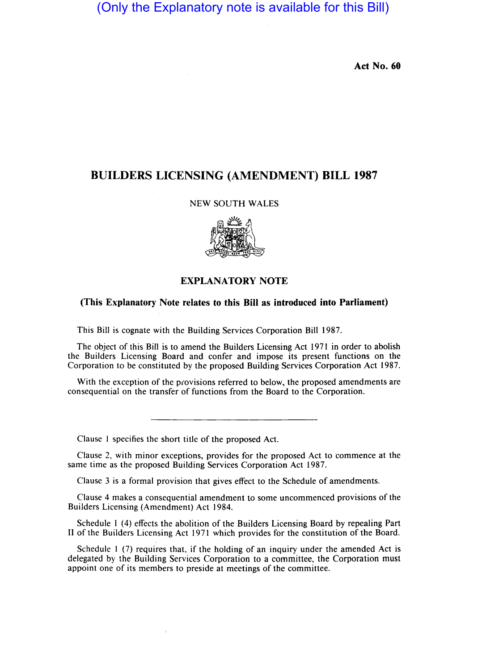(Only the Explanatory note is available for this Bill)

**Act No. 60** 

## **BUILDERS LICENSING (AMENDMENT) BILL 1987**

## NEW SOUTH WALES



## **EXPLANATORY NOTE**

## **(This Explanatory Note relates to this Bill as introduced into Parliament)**

This Bill is cognate with the Building Services Corporation Bill 1987.

The object of this Bill is to amend the Builders Licensing Act 1971 in order to abolish the Builders Licensing Board and confer and impose its present functions on the Corporation to be constituted by the proposed Building Services Corporation Act 1987.

With the exception of the provisions referred to below, the proposed amendments are consequential on the transfer of functions from the Board to the Corporation.

Clause I specifies the short title of the proposed Act.

Clause 2, with minor exceptions, provides for the proposed Act to commence at the same time as the proposed Building Services Corporation Act 1987.

Clause 3 is a formal provision that gives effect to the Schedule of amendments.

Clause 4 makes a consequential amendment to some uncommenced provisions of the Builders Licensing (Amendment) Act 1984.

Schedule I (4) effects the abolition of the Builders Licensing Board by repealing Part 11 of the Builders Licensing Act 1971 which provides for the constitution of the Board.

Schedule 1 (7) requires that, if the holding of an inquiry under the amended Act is delegated by the Building Services Corporation to a committee, the Corporation must appoint one of its members to preside at meetings of the committee.